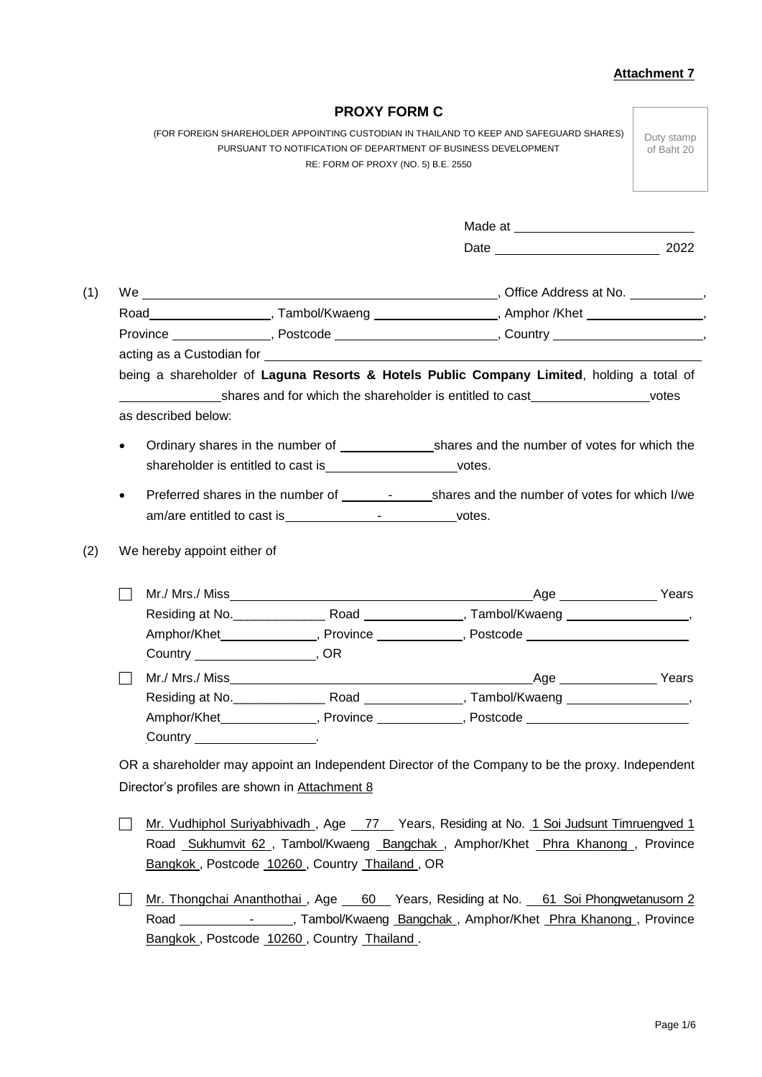|                     |                                      | <b>PROXY FORM C</b>                       | (FOR FOREIGN SHAREHOLDER APPOINTING CUSTODIAN IN THAILAND TO KEEP AND SAFEGUARD SHARES)<br>PURSUANT TO NOTIFICATION OF DEPARTMENT OF BUSINESS DEVELOPMENT | Duty stamp<br>of Baht 20 |
|---------------------|--------------------------------------|-------------------------------------------|-----------------------------------------------------------------------------------------------------------------------------------------------------------|--------------------------|
|                     |                                      | RE: FORM OF PROXY (NO. 5) B.E. 2550       |                                                                                                                                                           |                          |
|                     |                                      |                                           |                                                                                                                                                           |                          |
|                     |                                      |                                           |                                                                                                                                                           |                          |
|                     |                                      |                                           |                                                                                                                                                           |                          |
|                     |                                      |                                           | Road_______________________, Tambol/Kwaeng _____________________, Amphor /Khet __________________,                                                        |                          |
|                     |                                      |                                           | Province __________________, Postcode ____________________________, Country _______________________,                                                      |                          |
|                     |                                      |                                           |                                                                                                                                                           |                          |
|                     |                                      |                                           | being a shareholder of Laguna Resorts & Hotels Public Company Limited, holding a total of                                                                 |                          |
|                     |                                      |                                           | shares and for which the shareholder is entitled to cast votes                                                                                            |                          |
| as described below: |                                      |                                           |                                                                                                                                                           |                          |
|                     |                                      |                                           |                                                                                                                                                           |                          |
|                     |                                      |                                           |                                                                                                                                                           |                          |
|                     |                                      | shareholder is entitled to cast is votes. |                                                                                                                                                           |                          |
|                     |                                      |                                           |                                                                                                                                                           |                          |
|                     |                                      |                                           |                                                                                                                                                           |                          |
|                     |                                      |                                           |                                                                                                                                                           |                          |
|                     |                                      |                                           |                                                                                                                                                           |                          |
|                     |                                      |                                           | Amphor/Khet________________, Province _____________, Postcode __________________                                                                          |                          |
|                     | Country ________________________, OR |                                           |                                                                                                                                                           |                          |
|                     |                                      |                                           |                                                                                                                                                           |                          |
|                     |                                      |                                           |                                                                                                                                                           |                          |
|                     |                                      |                                           |                                                                                                                                                           |                          |
|                     |                                      |                                           | Amphor/Khet________________, Province ______________, Postcode __________________                                                                         |                          |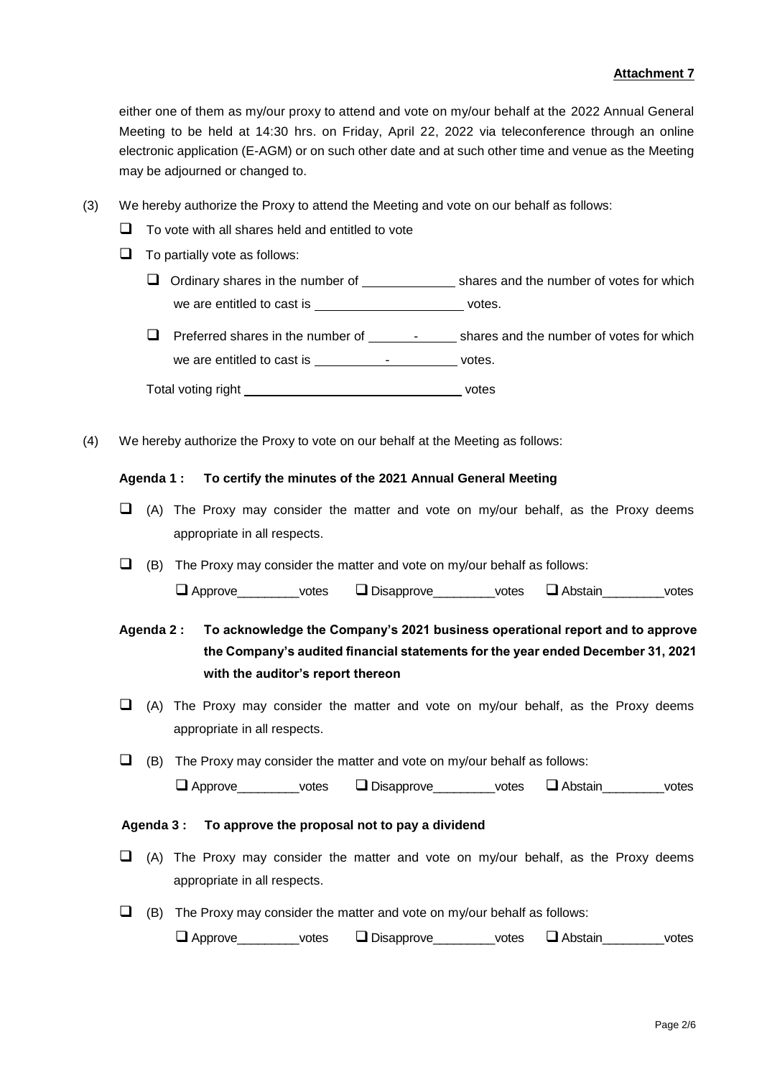either one of them as my/our proxy to attend and vote on my/our behalf at the 2022 Annual General Meeting to be held at 14:30 hrs. on Friday, April 22, 2022 via teleconference through an online electronic application (E-AGM) or on such other date and at such other time and venue as the Meeting may be adjourned or changed to.

- (3) We hereby authorize the Proxy to attend the Meeting and vote on our behalf as follows:
	- $\Box$  To vote with all shares held and entitled to vote
	- $\Box$  To partially vote as follows:
		- $\Box$  Ordinary shares in the number of  $\Box$  shares and the number of votes for which we are entitled to cast is votes.
		- **Q** Preferred shares in the number of \_\_\_\_\_\_\_\_\_\_\_\_\_\_\_ shares and the number of votes for which we are entitled to cast is - votes.
		- Total voting right votes
- (4) We hereby authorize the Proxy to vote on our behalf at the Meeting as follows:

#### **Agenda 1 : To certify the minutes of the 2021 Annual General Meeting**

- $\Box$  (A) The Proxy may consider the matter and vote on my/our behalf, as the Proxy deems appropriate in all respects.
- $\Box$  (B) The Proxy may consider the matter and vote on my/our behalf as follows:

| $\Box$ Approve | votes | $\Box$ Disapprove | votes | $\Box$ Abstain | votes |
|----------------|-------|-------------------|-------|----------------|-------|
|----------------|-------|-------------------|-------|----------------|-------|

**Agenda 2 : To acknowledge the Company's 2021 business operational report and to approve the Company's audited financial statements for the year ended December 31, 2021 with the auditor's report thereon**

- $\Box$  (A) The Proxy may consider the matter and vote on my/our behalf, as the Proxy deems appropriate in all respects.
- $\Box$  (B) The Proxy may consider the matter and vote on my/our behalf as follows: Approve\_\_\_\_\_\_\_\_\_votes Disapprove\_\_\_\_\_\_\_\_\_votes Abstain\_\_\_\_\_\_\_\_\_votes

#### **Agenda 3 : To approve the proposal not to pay a dividend**

- $\Box$  (A) The Proxy may consider the matter and vote on my/our behalf, as the Proxy deems appropriate in all respects.
- $\Box$  (B) The Proxy may consider the matter and vote on my/our behalf as follows:

| $\Box$ Approve | votes | $\Box$ Disapprove | votes | $\Box$ Abstain | votes |
|----------------|-------|-------------------|-------|----------------|-------|
|----------------|-------|-------------------|-------|----------------|-------|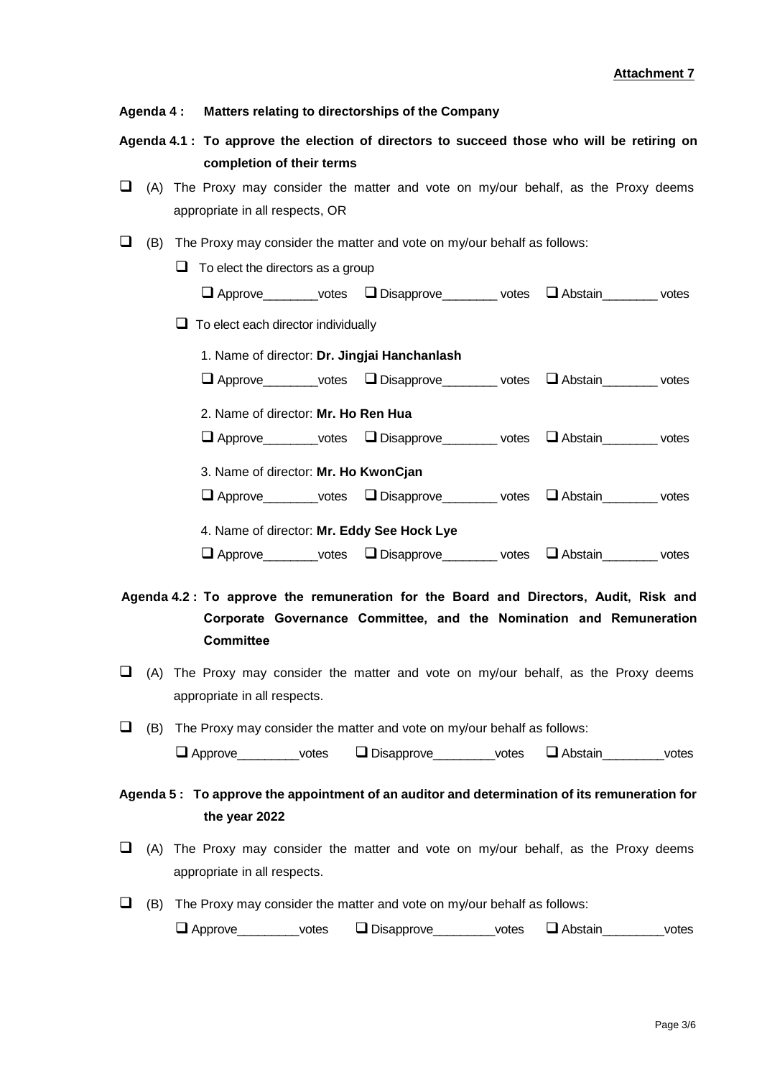| Agenda 4: Matters relating to directorships of the Company                                                                                                                       |  |  |  |  |  |  |
|----------------------------------------------------------------------------------------------------------------------------------------------------------------------------------|--|--|--|--|--|--|
| Agenda 4.1 : To approve the election of directors to succeed those who will be retiring on<br>completion of their terms                                                          |  |  |  |  |  |  |
| $\Box$<br>(A) The Proxy may consider the matter and vote on my/our behalf, as the Proxy deems<br>appropriate in all respects, OR                                                 |  |  |  |  |  |  |
| The Proxy may consider the matter and vote on my/our behalf as follows:<br>(B)                                                                                                   |  |  |  |  |  |  |
| ⊔<br>To elect the directors as a group                                                                                                                                           |  |  |  |  |  |  |
| □ Approve________votes □ Disapprove_________ votes □ Abstain_________ votes                                                                                                      |  |  |  |  |  |  |
| $\Box$ To elect each director individually                                                                                                                                       |  |  |  |  |  |  |
| 1. Name of director: Dr. Jingjai Hanchanlash                                                                                                                                     |  |  |  |  |  |  |
| □ Approve________votes □ Disapprove_________ votes □ Abstain_________ votes                                                                                                      |  |  |  |  |  |  |
| 2. Name of director: Mr. Ho Ren Hua                                                                                                                                              |  |  |  |  |  |  |
| □ Approve_________votes □ Disapprove_________ votes □ Abstain________ votes                                                                                                      |  |  |  |  |  |  |
| 3. Name of director: Mr. Ho KwonCjan                                                                                                                                             |  |  |  |  |  |  |
| □ Approve_________votes □ Disapprove_________ votes □ Abstain________ votes                                                                                                      |  |  |  |  |  |  |
| 4. Name of director: Mr. Eddy See Hock Lye                                                                                                                                       |  |  |  |  |  |  |
| □ Approve________votes □ Disapprove_________ votes □ Abstain_________ votes                                                                                                      |  |  |  |  |  |  |
| Agenda 4.2 : To approve the remuneration for the Board and Directors, Audit, Risk and<br>Corporate Governance Committee, and the Nomination and Remuneration<br><b>Committee</b> |  |  |  |  |  |  |
| (A) The Proxy may consider the matter and vote on my/our behalf, as the Proxy deems<br>appropriate in all respects.                                                              |  |  |  |  |  |  |
| ⊔<br>(B) The Proxy may consider the matter and vote on my/our behalf as follows:                                                                                                 |  |  |  |  |  |  |
| Disapprove__________votes<br>Abstain votes<br>Approve__________votes                                                                                                             |  |  |  |  |  |  |
|                                                                                                                                                                                  |  |  |  |  |  |  |
| Agenda 5: To approve the appointment of an auditor and determination of its remuneration for                                                                                     |  |  |  |  |  |  |
| the year 2022                                                                                                                                                                    |  |  |  |  |  |  |

- $\Box$  (A) The Proxy may consider the matter and vote on my/our behalf, as the Proxy deems appropriate in all respects.
- $\Box$  (B) The Proxy may consider the matter and vote on my/our behalf as follows:

| $\Box$ Approve | votes | $\Box$ Disapprove |  | votes □ Abstain | votes |
|----------------|-------|-------------------|--|-----------------|-------|
|----------------|-------|-------------------|--|-----------------|-------|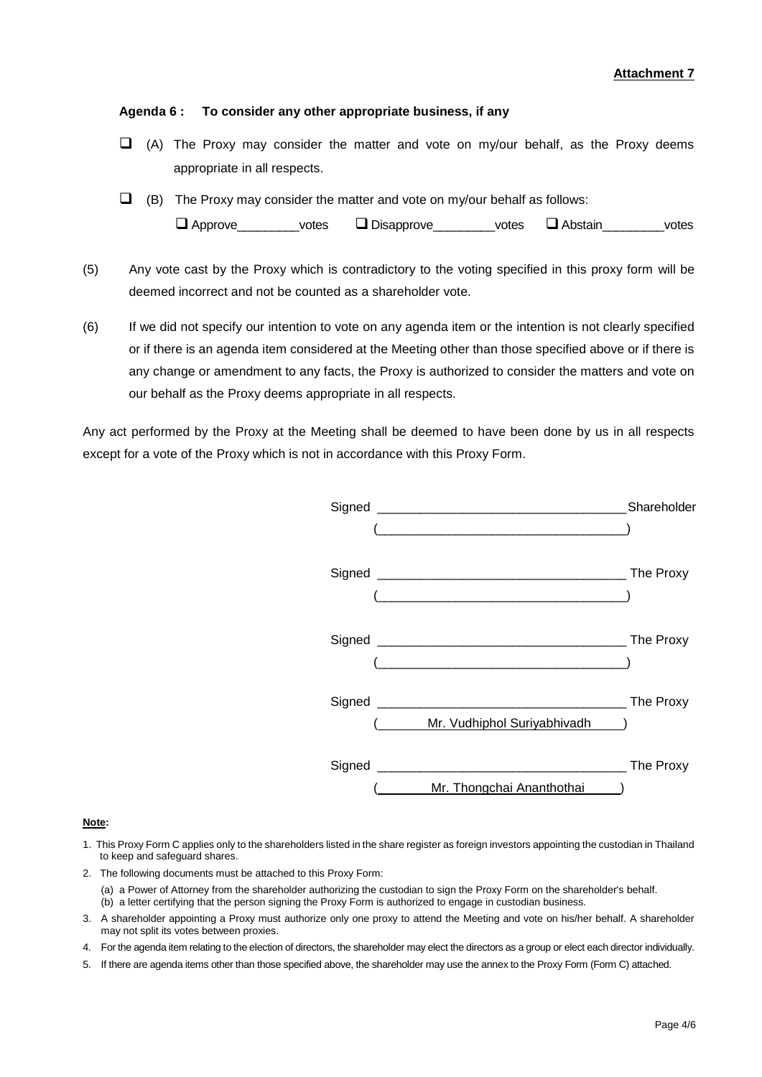### **Agenda 6 : To consider any other appropriate business, if any**

- $\Box$  (A) The Proxy may consider the matter and vote on my/our behalf, as the Proxy deems appropriate in all respects.
- $\Box$  (B) The Proxy may consider the matter and vote on my/our behalf as follows:  $\square$  Approve  $\square$  votes  $\square$  Disapprove  $\square$  votes  $\square$  Abstain votes
- (5) Any vote cast by the Proxy which is contradictory to the voting specified in this proxy form will be deemed incorrect and not be counted as a shareholder vote.
- (6) If we did not specify our intention to vote on any agenda item or the intention is not clearly specified or if there is an agenda item considered at the Meeting other than those specified above or if there is any change or amendment to any facts, the Proxy is authorized to consider the matters and vote on our behalf as the Proxy deems appropriate in all respects.

Any act performed by the Proxy at the Meeting shall be deemed to have been done by us in all respects except for a vote of the Proxy which is not in accordance with this Proxy Form.



#### **Note:**

- 1. This Proxy Form C applies only to the shareholders listed in the share register as foreign investors appointing the custodian in Thailand to keep and safeguard shares.
- 2. The following documents must be attached to this Proxy Form:
- (a) a Power of Attorney from the shareholder authorizing the custodian to sign the Proxy Form on the shareholder's behalf. (b) a letter certifying that the person signing the Proxy Form is authorized to engage in custodian business.
- 3. A shareholder appointing a Proxy must authorize only one proxy to attend the Meeting and vote on his/her behalf. A shareholder may not split its votes between proxies.
- 4. For the agenda item relating to the election of directors, the shareholder may elect the directors as a group or elect each director individually.
- 5. If there are agenda items other than those specified above, the shareholder may use the annex to the Proxy Form (Form C) attached.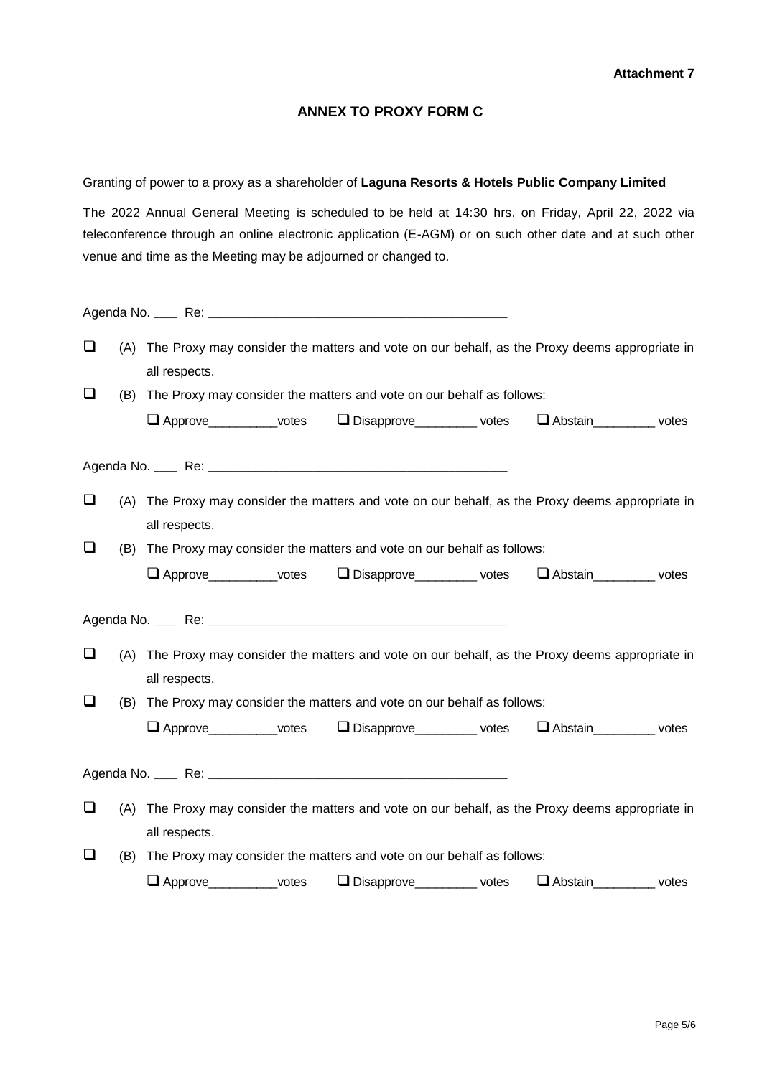# **ANNEX TO PROXY FORM C**

Granting of power to a proxy as a shareholder of **Laguna Resorts & Hotels Public Company Limited**

The 2022 Annual General Meeting is scheduled to be held at 14:30 hrs. on Friday, April 22, 2022 via teleconference through an online electronic application (E-AGM) or on such other date and at such other venue and time as the Meeting may be adjourned or changed to.

| $\Box$ |     | all respects. | (A) The Proxy may consider the matters and vote on our behalf, as the Proxy deems appropriate in |                      |  |
|--------|-----|---------------|--------------------------------------------------------------------------------------------------|----------------------|--|
| ❏      | (B) |               | The Proxy may consider the matters and vote on our behalf as follows:                            |                      |  |
|        |     |               | □ Approve__________votes □ Disapprove_________ votes □ Abstain__________ votes                   |                      |  |
|        |     |               |                                                                                                  |                      |  |
| $\Box$ |     | all respects. | (A) The Proxy may consider the matters and vote on our behalf, as the Proxy deems appropriate in |                      |  |
| $\Box$ |     |               | (B) The Proxy may consider the matters and vote on our behalf as follows:                        |                      |  |
|        |     |               | □ Approve__________votes □ Disapprove_________ votes □ Abstain__________ votes                   |                      |  |
| $\Box$ |     | all respects. | (A) The Proxy may consider the matters and vote on our behalf, as the Proxy deems appropriate in |                      |  |
| $\Box$ | (B) |               | The Proxy may consider the matters and vote on our behalf as follows:                            |                      |  |
|        |     |               | □ Approve__________votes □ Disapprove_________ votes □ Abstain__________ votes                   |                      |  |
|        |     |               |                                                                                                  |                      |  |
| ❏      |     | all respects. | (A) The Proxy may consider the matters and vote on our behalf, as the Proxy deems appropriate in |                      |  |
| ⊔      | (B) |               | The Proxy may consider the matters and vote on our behalf as follows:                            |                      |  |
|        |     | Approve votes | Disapprove <sub>____________</sub> votes                                                         | $\Box$ Abstain votes |  |